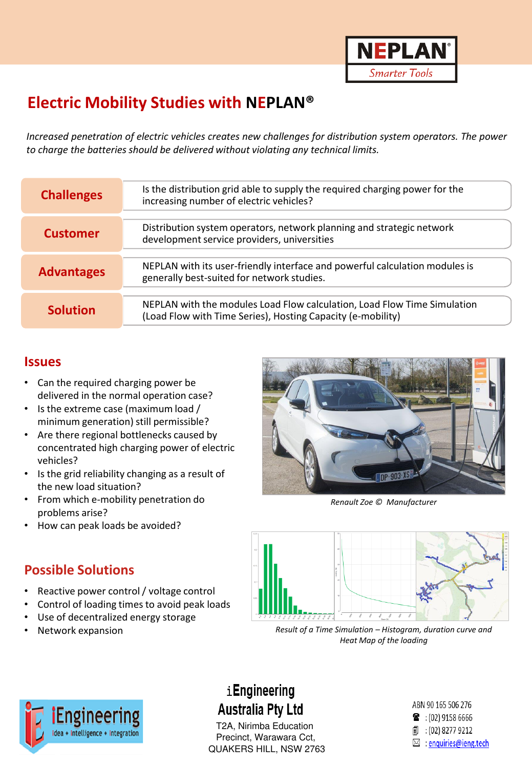

# **Electric Mobility Studies with NEPLAN®**

*Increased penetration of electric vehicles creates new challenges for distribution system operators. The power to charge the batteries should be delivered without violating any technical limits.*

| <b>Challenges</b> | Is the distribution grid able to supply the required charging power for the<br>increasing number of electric vehicles?                  |
|-------------------|-----------------------------------------------------------------------------------------------------------------------------------------|
| <b>Customer</b>   | Distribution system operators, network planning and strategic network<br>development service providers, universities                    |
| <b>Advantages</b> | NEPLAN with its user-friendly interface and powerful calculation modules is<br>generally best-suited for network studies.               |
| <b>Solution</b>   | NEPLAN with the modules Load Flow calculation, Load Flow Time Simulation<br>(Load Flow with Time Series), Hosting Capacity (e-mobility) |

#### **Issues**

- Can the required charging power be delivered in the normal operation case?
- Is the extreme case (maximum load / minimum generation) still permissible?
- Are there regional bottlenecks caused by concentrated high charging power of electric vehicles?
- Is the grid reliability changing as a result of the new load situation?
- From which e-mobility penetration do problems arise?
- How can peak loads be avoided?

#### **Possible Solutions**

- Reactive power control / voltage control
- Control of loading times to avoid peak loads
- Use of decentralized energy storage
- Network expansion



*Renault Zoe © Manufacturer*



*Result of a Time Simulation – Histogram, duration curve and Heat Map of the loading*



# iEngineering **Australia Pty Ltd**

**Neplan and CH-8700 CH-8700 METALL INSW 2763** T2A, Nirimba Education T2A, Nirimba Education Precinct, Warawara Cct,

ABN 90 165 506 276  $\bullet$  : (02) 9158 6666 1 : (02) 8277 9212